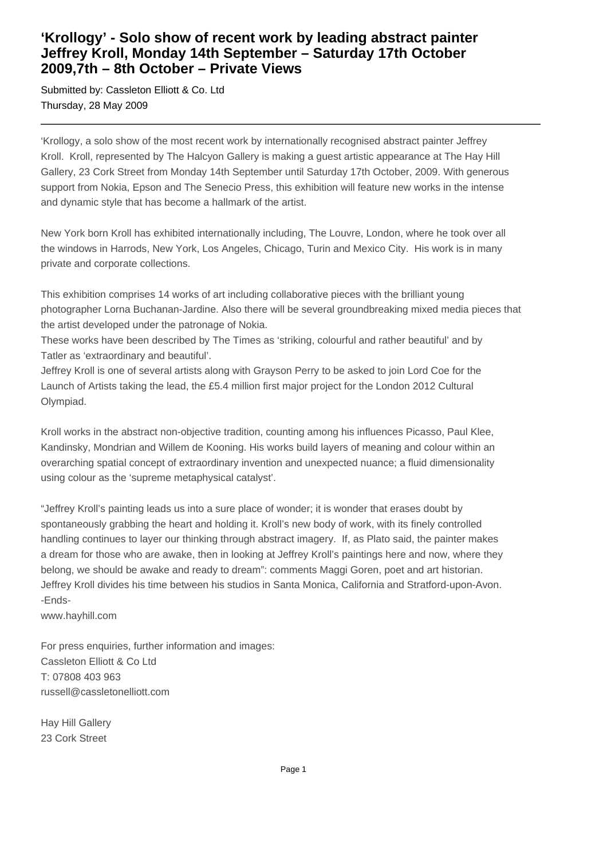## **'Krollogy' - Solo show of recent work by leading abstract painter Jeffrey Kroll, Monday 14th September – Saturday 17th October 2009,7th – 8th October – Private Views**

Submitted by: Cassleton Elliott & Co. Ltd Thursday, 28 May 2009

'Krollogy, a solo show of the most recent work by internationally recognised abstract painter Jeffrey Kroll. Kroll, represented by The Halcyon Gallery is making a guest artistic appearance at The Hay Hill Gallery, 23 Cork Street from Monday 14th September until Saturday 17th October, 2009. With generous support from Nokia, Epson and The Senecio Press, this exhibition will feature new works in the intense and dynamic style that has become a hallmark of the artist.

New York born Kroll has exhibited internationally including, The Louvre, London, where he took over all the windows in Harrods, New York, Los Angeles, Chicago, Turin and Mexico City. His work is in many private and corporate collections.

This exhibition comprises 14 works of art including collaborative pieces with the brilliant young photographer Lorna Buchanan-Jardine. Also there will be several groundbreaking mixed media pieces that the artist developed under the patronage of Nokia.

These works have been described by The Times as 'striking, colourful and rather beautiful' and by Tatler as 'extraordinary and beautiful'.

Jeffrey Kroll is one of several artists along with Grayson Perry to be asked to join Lord Coe for the Launch of Artists taking the lead, the £5.4 million first major project for the London 2012 Cultural Olympiad.

Kroll works in the abstract non-objective tradition, counting among his influences Picasso, Paul Klee, Kandinsky, Mondrian and Willem de Kooning. His works build layers of meaning and colour within an overarching spatial concept of extraordinary invention and unexpected nuance; a fluid dimensionality using colour as the 'supreme metaphysical catalyst'.

"Jeffrey Kroll's painting leads us into a sure place of wonder; it is wonder that erases doubt by spontaneously grabbing the heart and holding it. Kroll's new body of work, with its finely controlled handling continues to layer our thinking through abstract imagery. If, as Plato said, the painter makes a dream for those who are awake, then in looking at Jeffrey Kroll's paintings here and now, where they belong, we should be awake and ready to dream": comments Maggi Goren, poet and art historian. Jeffrey Kroll divides his time between his studios in Santa Monica, California and Stratford-upon-Avon. -Ends-

www.hayhill.com

For press enquiries, further information and images: Cassleton Elliott & Co Ltd T: 07808 403 963 russell@cassletonelliott.com

Hay Hill Gallery 23 Cork Street